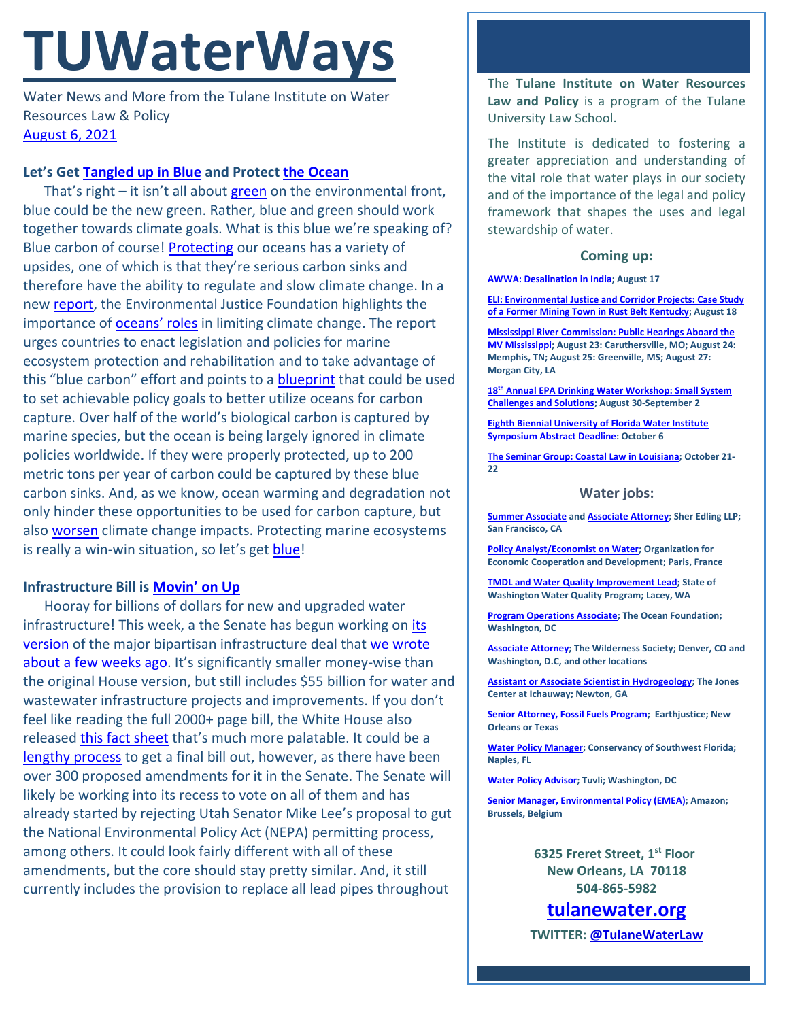# **TUWaterWays**

Water News and More from the Tulane Institute on Water Resources Law & Policy [August 6, 2021](https://thisdayinwaterhistory.wordpress.com/)

## **Let's Get [Tangled up in Blue](https://www.youtube.com/watch?v=YwSZvHqf9qM) and Protect [the Ocean](https://www.youtube.com/watch?v=mqgyD_yTWCU)**

That's right – it isn't all about [green](https://www.youtube.com/watch?v=lRgHSxWnhqk) on the environmental front, blue could be the new green. Rather, blue and green should work together towards climate goals. What is this blue we're speaking of? Blue carbon of course! [Protecting](https://www.conservation.org/priorities/protecting-the-ocean-to-protect-humanity) our oceans has a variety of upsides, one of which is that they're serious carbon sinks and therefore have the ability to regulate and slow climate change. In a new [report,](https://ejfoundation.org/resources/downloads/EJF-Blue-Carbon-Brief_EU.pdf) the Environmental Justice Foundation highlights the importance of **oceans' roles** in limiting climate change. The report urges countries to enact legislation and policies for marine ecosystem protection and rehabilitation and to take advantage of this "blue carbon" effort and points to a [blueprint](https://storage.googleapis.com/planet4-international-stateless/2019/03/479c73c5-30x30_blueprint_report_exec_summary_web.pdf?source=email) that could be used to set achievable policy goals to better utilize oceans for carbon capture. Over half of the world's biological carbon is captured by marine species, but the ocean is being largely ignored in climate policies worldwide. If they were properly protected, up to 200 metric tons per year of carbon could be captured by these blue carbon sinks. And, as we know, ocean warming and degradation not only hinder these opportunities to be used for carbon capture, but also **worsen** climate change impacts. Protecting marine ecosystems is really a win-win situation, so let's get [blue!](https://www.youtube.com/watch?v=zA52uNzx7Y4)

## **Infrastructure Bill is [Movin' on Up](https://www.youtube.com/watch?v=6Z66wVo7uNw)**

Hooray for billions of dollars for new and upgraded water infrastructure! This week, a the Senate has begun working on its [version](https://www.epw.senate.gov/public/_cache/files/e/a/ea1eb2e4-56bd-45f1-a260-9d6ee951bc96/F8A7C77D69BE09151F210EB4DFE872CD.edw21a09.pdf) of the major bipartisan infrastructure deal that we wrote [about a few weeks ago.](https://a21005ea-f0f0-4cff-a527-7c658373c740.filesusr.com/ugd/32079b_ddbf41e5c35c48a38ae95a1d10a33259.pdf) It's significantly smaller money-wise than the original House version, but still includes \$55 billion for water and wastewater infrastructure projects and improvements. If you don't feel like reading the full 2000+ page bill, the White House also released [this fact sheet](https://www.whitehouse.gov/briefing-room/statements-releases/2021/07/28/fact-sheet-historic-bipartisan-infrastructure-deal/?utm_source=newsletter&utm_medium=email&utm_campaign=newsletter_axiosam&stream=top) that's much more palatable. It could be a [lengthy process](https://www.cbsnews.com/news/senate-bipartisan-infrastructure-bill-amendments/) to get a final bill out, however, as there have been over 300 proposed amendments for it in the Senate. The Senate will likely be working into its recess to vote on all of them and has already started by rejecting Utah Senator Mike Lee's proposal to gut the National Environmental Policy Act (NEPA) permitting process, among others. It could look fairly different with all of these amendments, but the core should stay pretty similar. And, it still currently includes the provision to replace all lead pipes throughout

The **Tulane Institute on Water Resources Law and Policy** is a program of the Tulane University Law School.

The Institute is dedicated to fostering a greater appreciation and understanding of the vital role that water plays in our society and of the importance of the legal and policy framework that shapes the uses and legal stewardship of water.

## **Coming up:**

**[AWWA: Desalination in India;](https://www.awwa.org/Events-Education/Events-Calendar/mid/11357/OccuranceId/585?ctl=ViewEvent) August 17**

**[ELI: Environmental Justice and Corridor Projects: Case Study](https://www.eli.org/events/environmental-justice-and-corridor-projects-case-study-former-mining-town-rust-belt-kentucky)  [of a Former Mining Town in Rust Belt Kentucky;](https://www.eli.org/events/environmental-justice-and-corridor-projects-case-study-former-mining-town-rust-belt-kentucky) August 18**

**[Mississippi River Commission: Public Hearings Aboard the](https://www.mvd.usace.army.mil/About/Mississippi-River-Commission-MRC/)  [MV Mississippi;](https://www.mvd.usace.army.mil/About/Mississippi-River-Commission-MRC/) August 23: Caruthersville, MO; August 24: Memphis, TN; August 25: Greenville, MS; August 27: Morgan City, LA**

**18th [Annual EPA Drinking Water Workshop: Small System](https://www.epa.gov/water-research/18th-annual-epa-drinking-water-workshop-small-system-challenges-and-solutions)  [Challenges and Solutions;](https://www.epa.gov/water-research/18th-annual-epa-drinking-water-workshop-small-system-challenges-and-solutions) August 30-September 2**

**[Eighth Biennial University of Florida Water Institute](https://conference.ifas.ufl.edu/waterinstitute/call-abstracts.html)  [Symposium Abstract Deadline:](https://conference.ifas.ufl.edu/waterinstitute/call-abstracts.html) October 6**

**[The Seminar Group: Coastal Law in Louisiana;](https://www.theseminargroup.net/seminardetl.aspx?id=6027) October 21- 22**

#### **Water jobs:**

**[Summer Associate](https://sheredling.bamboohr.com/jobs/view.php?id=27) an[d Associate Attorney;](https://sheredling.bamboohr.com/jobs/view.php?id=22&source=other) Sher Edling LLP; San Francisco, CA**

**[Policy Analyst/Economist on Water;](https://oecd.taleo.net/careersection/ext/jobdetail.ftl?job=14610&lang=en) Organization for Economic Cooperation and Development; Paris, France**

**[TMDL and Water Quality Improvement Lead;](https://www.governmentjobs.com/careers/washington/jobs/3167604/tmdl-and-water-quality-improvement-lead-environmental-specialist-4) State of Washington Water Quality Program; Lacey, WA**

**[Program Operations Associate;](https://tof.bamboohr.com/jobs/view.php?id=29) The Ocean Foundation; Washington, DC**

**[Associate Attorney;](https://workforcenow.adp.com/mascsr/default/mdf/recruitment/recruitment.html?cid=2a2cd446-3b6b-45ff-90d7-579775843522&ccId=19000101_000001&jobId=419435&source=CC2&lang=en_US) The Wilderness Society; Denver, CO and Washington, D.C, and other locations**

**[Assistant or Associate Scientist in Hydrogeology;](https://www.jonesctr.org/wp-content/uploads/2021/06/Hydrogeologist-Scientist-PD.pdf) The Jones Center at Ichauway; Newton, GA**

**[Senior Attorney, Fossil Fuels Program;](https://earthjustice.org/about/jobs/40606/senior-attorney-fossil-fuels-program) Earthjustice; New Orleans or Texas**

**[Water Policy Manager;](https://conservancy.topdoghrrecruiting.com/job/272081/water-policy-manager) Conservancy of Southwest Florida; Naples, FL**

**[Water Policy Advisor;](https://akima.taleo.net/careersection/akimallc_cs/jobdetail.ftl?job=579018&src=SNS-10085) Tuvli; Washington, DC**

**[Senior Manager, Environmental Policy \(EMEA\);](https://amazon.jobs/en/jobs/1586735/senior-manager-environmental-policy-emea) Amazon; Brussels, Belgium**

> **6325 Freret Street, 1st Floor New Orleans, LA 70118 504-865-5982**

**tulanewater.org TWITTER: [@TulaneWaterLaw](http://www.twitter.com/TulaneWaterLaw)**